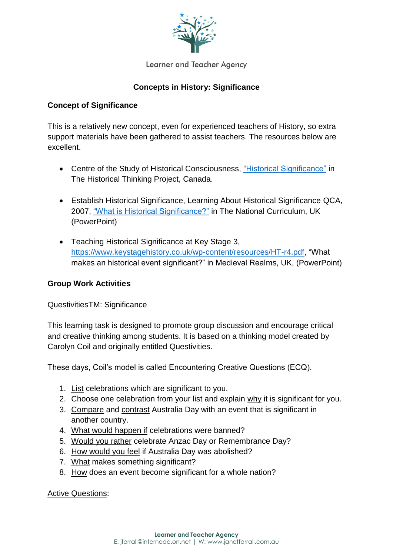

Learner and Teacher Agency

## **Concepts in History: Significance**

### **Concept of Significance**

This is a relatively new concept, even for experienced teachers of History, so extra support materials have been gathered to assist teachers. The resources below are excellent.

- Centre of the Study of Historical Consciousness, "Historical [Significance"](http://historicalthinking.ca/) in The Historical Thinking Project, Canada.
- Establish Historical Significance, Learning About Historical Significance QCA, 2007, ["What is Historical Significance?"](https://tc2.ca/uploads/PDFs/thinking-about-history/historical_significance_elementary.pdf) in The National Curriculum, UK (PowerPoint)
- Teaching Historical Significance at Key Stage 3, [https://www.keystagehistory.co.uk/wp-content/resources/HT-r4.pdf,](https://www.keystagehistory.co.uk/wp-content/resources/HT-r4.pdf) "What makes an historical event significant?" in Medieval Realms, UK, (PowerPoint)

### **Group Work Activities**

#### QuestivitiesTM: Significance

This learning task is designed to promote group discussion and encourage critical and creative thinking among students. It is based on a thinking model created by Carolyn Coil and originally entitled Questivities.

These days, Coil's model is called Encountering Creative Questions (ECQ).

- 1. List celebrations which are significant to you.
- 2. Choose one celebration from your list and explain why it is significant for you.
- 3. Compare and contrast Australia Day with an event that is significant in another country.
- 4. What would happen if celebrations were banned?
- 5. Would you rather celebrate Anzac Day or Remembrance Day?
- 6. How would you feel if Australia Day was abolished?
- 7. What makes something significant?
- 8. How does an event become significant for a whole nation?

Active Questions: